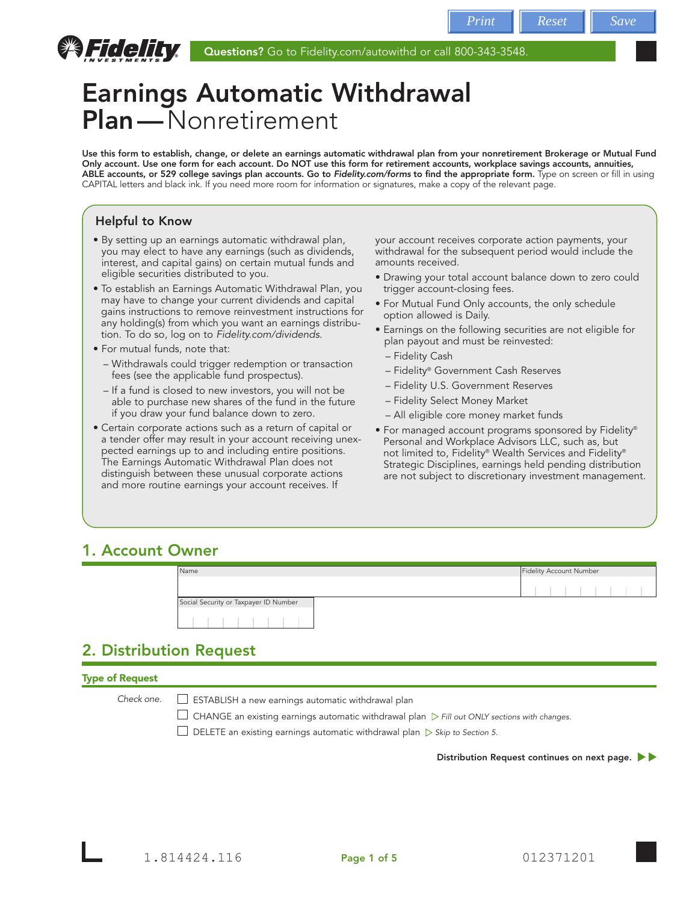

# Earnings Automatic Withdrawal Plan—Nonretirement

Use this form to establish, change, or delete an earnings automatic withdrawal plan from your nonretirement Brokerage or Mutual Fund Only account. Use one form for each account. Do NOT use this form for retirement accounts, workplace savings accounts, annuities, ABLE accounts, or 529 college savings plan accounts. Go to *Fidelity.com/forms* to find the appropriate form. Type on screen or fill in using CAPITAL letters and black ink. If you need more room for information or signatures, make a copy of the relevant page.

# Helpful to Know

- By setting up an earnings automatic withdrawal plan, you may elect to have any earnings (such as dividends, interest, and capital gains) on certain mutual funds and eligible securities distributed to you.
- To establish an Earnings Automatic Withdrawal Plan, you may have to change your current dividends and capital gains instructions to remove reinvestment instructions for any holding(s) from which you want an earnings distribution. To do so, log on to *Fidelity.com/dividends*.
- For mutual funds, note that:
	- Withdrawals could trigger redemption or transaction fees (see the applicable fund prospectus).
	- If a fund is closed to new investors, you will not be able to purchase new shares of the fund in the future if you draw your fund balance down to zero.
- Certain corporate actions such as a return of capital or a tender offer may result in your account receiving unexpected earnings up to and including entire positions. The Earnings Automatic Withdrawal Plan does not distinguish between these unusual corporate actions and more routine earnings your account receives. If

your account receives corporate action payments, your withdrawal for the subsequent period would include the amounts received.

- Drawing your total account balance down to zero could trigger account-closing fees.
- For Mutual Fund Only accounts, the only schedule option allowed is Daily.
- Earnings on the following securities are not eligible for plan payout and must be reinvested:
	- Fidelity Cash
	- Fidelity® Government Cash Reserves
	- Fidelity U.S. Government Reserves
	- Fidelity Select Money Market
	- All eligible core money market funds
- For managed account programs sponsored by Fidelity® Personal and Workplace Advisors LLC, such as, but not limited to, Fidelity® Wealth Services and Fidelity® Strategic Disciplines, earnings held pending distribution are not subject to discretionary investment management.

# 1. Account Owner

| Name                                  |  | Fidelity Account Number |  |  |  |  |
|---------------------------------------|--|-------------------------|--|--|--|--|
|                                       |  |                         |  |  |  |  |
| Social Security or Taxpayer ID Number |  |                         |  |  |  |  |
|                                       |  |                         |  |  |  |  |

# 2. Distribution Request

# Type of Request

*Check one.*

ESTABLISH a new earnings automatic withdrawal plan

CHANGE an existing earnings automatic withdrawal plan *Fill out ONLY sections with changes.*

DELETE an existing earnings automatic withdrawal plan *Skip to Section 5.*

Distribution Request continues on next page.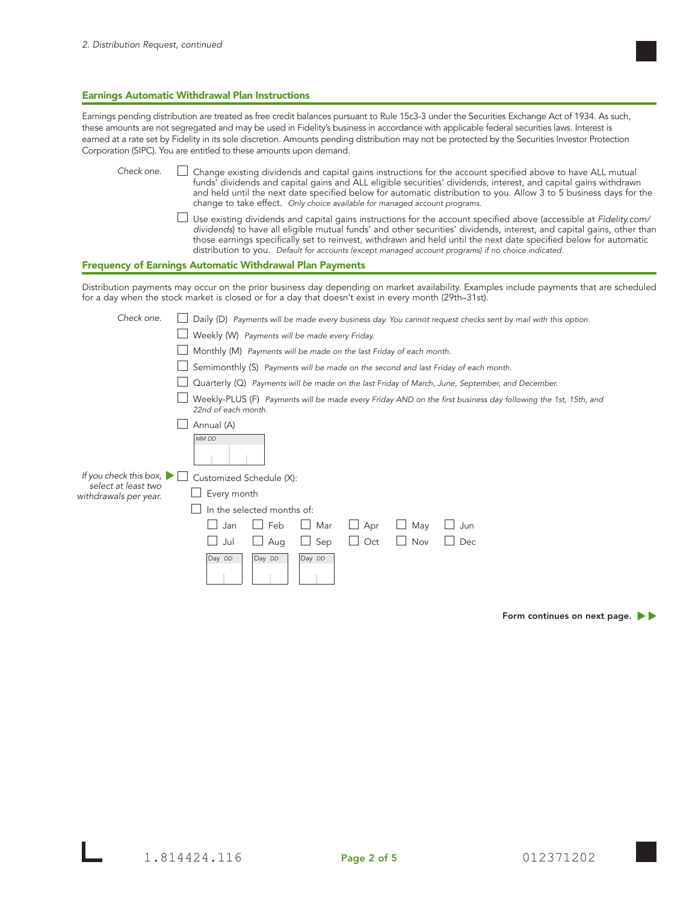#### Earnings Automatic Withdrawal Plan Instructions

Earnings pending distribution are treated as free credit balances pursuant to Rule 15c3-3 under the Securities Exchange Act of 1934. As such, these amounts are not segregated and may be used in Fidelity's business in accordance with applicable federal securities laws. Interest is earned at a rate set by Fidelity in its sole discretion. Amounts pending distribution may not be protected by the Securities Investor Protection Corporation (SIPC). You are entitled to these amounts upon demand.

 Change existing dividends and capital gains instructions for the account specified above to have ALL mutual funds' dividends and capital gains and ALL eligible securities' dividends, interest, and capital gains withdrawn and held until the next date specified below for automatic distribution to you. Allow 3 to 5 business days for the change to take effect. *Only choice available for managed account programs.* Use existing dividends and capital gains instructions for the account specified above (accessible at *Fidelity.com/ dividends*) to have all eligible mutual funds' and other securities' dividends, interest, and capital gains, other than *Check one.*

those earnings specifically set to reinvest, withdrawn and held until the next date specified below for automatic

#### Frequency of Earnings Automatic Withdrawal Plan Payments

Distribution payments may occur on the prior business day depending on market availability. Examples include payments that are scheduled for a day when the stock market is closed or for a day that doesn't exist in every month (29th–31st).

distribution to you. *Default for accounts (except managed account programs) if no choice indicated.*

| Check one.                                     | Daily (D) Payments will be made every business day. You cannot request checks sent by mail with this option.                         |
|------------------------------------------------|--------------------------------------------------------------------------------------------------------------------------------------|
|                                                | Weekly (W) Payments will be made every Friday.                                                                                       |
|                                                | Monthly (M) Payments will be made on the last Friday of each month.                                                                  |
|                                                | Semimonthly (S) Payments will be made on the second and last Friday of each month.                                                   |
|                                                | Quarterly (Q) Payments will be made on the last Friday of March, June, September, and December.                                      |
|                                                | Weekly-PLUS (F) Payments will be made every Friday AND on the first business day following the 1st, 15th, and<br>22nd of each month. |
|                                                | Annual (A)                                                                                                                           |
|                                                | MM DD                                                                                                                                |
| If you check this box, $\blacktriangleright$ [ | Customized Schedule (X):                                                                                                             |
| select at least two<br>withdrawals per year.   | Every month                                                                                                                          |
|                                                | In the selected months of:                                                                                                           |
|                                                | Feb<br>Mar<br>May<br>Jan<br>Apr<br>Jun                                                                                               |
|                                                | Sep<br>Nov<br>Oct<br>Dec<br>Aug<br>Jul                                                                                               |
|                                                | Day DD<br>Day DD<br>Day DD                                                                                                           |

Form continues on next page.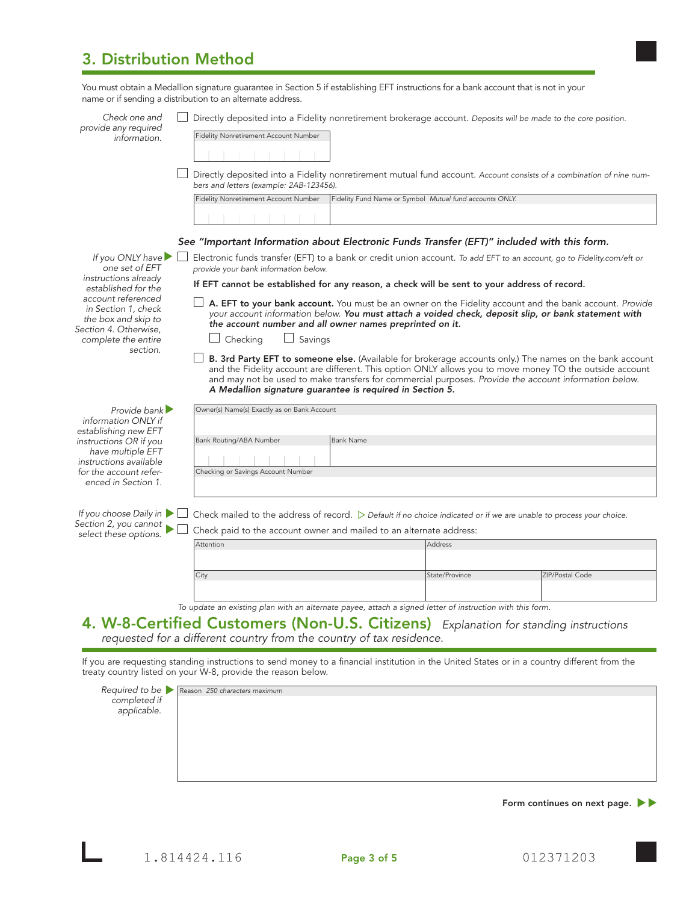# 3. Distribution Method

| Check one and<br>provide any required                                                     | Directly deposited into a Fidelity nonretirement brokerage account. Deposits will be made to the core position.                                                                                                                                                                                                               |                                                         |                 |  |  |
|-------------------------------------------------------------------------------------------|-------------------------------------------------------------------------------------------------------------------------------------------------------------------------------------------------------------------------------------------------------------------------------------------------------------------------------|---------------------------------------------------------|-----------------|--|--|
| information.                                                                              | Fidelity Nonretirement Account Number                                                                                                                                                                                                                                                                                         |                                                         |                 |  |  |
|                                                                                           |                                                                                                                                                                                                                                                                                                                               |                                                         |                 |  |  |
|                                                                                           | Directly deposited into a Fidelity nonretirement mutual fund account. Account consists of a combination of nine num-<br>bers and letters (example: 2AB-123456).                                                                                                                                                               |                                                         |                 |  |  |
|                                                                                           | Fidelity Nonretirement Account Number                                                                                                                                                                                                                                                                                         | Fidelity Fund Name or Symbol Mutual fund accounts ONLY. |                 |  |  |
|                                                                                           |                                                                                                                                                                                                                                                                                                                               |                                                         |                 |  |  |
|                                                                                           | See "Important Information about Electronic Funds Transfer (EFT)" included with this form.                                                                                                                                                                                                                                    |                                                         |                 |  |  |
| If you ONLY have<br>one set of EFT<br>instructions already                                | Electronic funds transfer (EFT) to a bank or credit union account. To add EFT to an account, go to Fidelity.com/eft or<br>provide your bank information below.                                                                                                                                                                |                                                         |                 |  |  |
| established for the                                                                       | If EFT cannot be established for any reason, a check will be sent to your address of record.                                                                                                                                                                                                                                  |                                                         |                 |  |  |
| account referenced<br>in Section 1, check<br>the box and skip to<br>Section 4. Otherwise, | A. EFT to your bank account. You must be an owner on the Fidelity account and the bank account. Provide<br>your account information below. You must attach a voided check, deposit slip, or bank statement with<br>the account number and all owner names preprinted on it.                                                   |                                                         |                 |  |  |
| complete the entire                                                                       | Savings<br>Checking<br>$\Box$                                                                                                                                                                                                                                                                                                 |                                                         |                 |  |  |
| section.                                                                                  | B. 3rd Party EFT to someone else. (Available for brokerage accounts only.) The names on the bank account<br>and the Fidelity account are different. This option ONLY allows you to move money TO the outside account<br>and may not be used to make transfers for commercial purposes. Provide the account information below. |                                                         |                 |  |  |
|                                                                                           | A Medallion signature guarantee is required in Section 5.                                                                                                                                                                                                                                                                     |                                                         |                 |  |  |
| Provide bank $\blacktriangleright$<br>information ONLY if<br>establishing new EFT         | Owner(s) Name(s) Exactly as on Bank Account                                                                                                                                                                                                                                                                                   |                                                         |                 |  |  |
| instructions OR if you                                                                    | Bank Routing/ABA Number<br><b>Bank Name</b>                                                                                                                                                                                                                                                                                   |                                                         |                 |  |  |
| have multiple EFT<br>instructions available                                               |                                                                                                                                                                                                                                                                                                                               |                                                         |                 |  |  |
| Checking or Savings Account Number<br>for the account refer-<br>enced in Section 1.       |                                                                                                                                                                                                                                                                                                                               |                                                         |                 |  |  |
| If you choose Daily in<br>Section 2, you cannot                                           | Check mailed to the address of record. $\triangleright$ Default if no choice indicated or if we are unable to process your choice.<br>Check paid to the account owner and mailed to an alternate address:                                                                                                                     |                                                         |                 |  |  |
| select these options.                                                                     | Attention                                                                                                                                                                                                                                                                                                                     | <b>Address</b>                                          |                 |  |  |
|                                                                                           |                                                                                                                                                                                                                                                                                                                               |                                                         |                 |  |  |
|                                                                                           | City                                                                                                                                                                                                                                                                                                                          | State/Province                                          | ZIP/Postal Code |  |  |
|                                                                                           |                                                                                                                                                                                                                                                                                                                               |                                                         |                 |  |  |
|                                                                                           |                                                                                                                                                                                                                                                                                                                               |                                                         |                 |  |  |
|                                                                                           | To update an existing plan with an alternate payee, attach a signed letter of instruction with this form.<br>4. W-8-Certified Customers (Non-U.S. Citizens) Explanation for standing instructions                                                                                                                             |                                                         |                 |  |  |

| Required to be<br>completed if<br>applicable. |
|-----------------------------------------------|
|                                               |
|                                               |
|                                               |
|                                               |
|                                               |
|                                               |
|                                               |

Form continues on next page.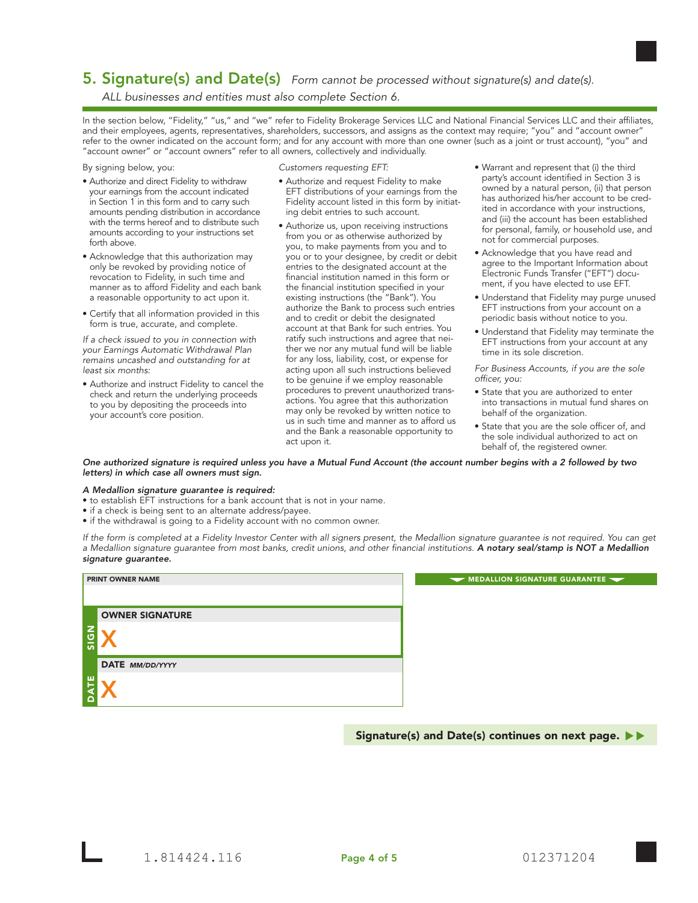# 5. Signature(s) and Date(s) *Form cannot be processed without signature(s) and date(s).*

*ALL businesses and entities must also complete Section 6.*

In the section below, "Fidelity," "us," and "we" refer to Fidelity Brokerage Services LLC and National Financial Services LLC and their affiliates, and their employees, agents, representatives, shareholders, successors, and assigns as the context may require; "you" and "account owner" refer to the owner indicated on the account form; and for any account with more than one owner (such as a joint or trust account), "you" and "account owner" or "account owners" refer to all owners, collectively and individually.

By signing below, you:

- Authorize and direct Fidelity to withdraw your earnings from the account indicated in Section 1 in this form and to carry such amounts pending distribution in accordance with the terms hereof and to distribute such amounts according to your instructions set forth above.
- Acknowledge that this authorization may only be revoked by providing notice of revocation to Fidelity, in such time and manner as to afford Fidelity and each bank a reasonable opportunity to act upon it.
- Certify that all information provided in this form is true, accurate, and complete.

*If a check issued to you in connection with your Earnings Automatic Withdrawal Plan remains uncashed and outstanding for at least six months:*

• Authorize and instruct Fidelity to cancel the check and return the underlying proceeds to you by depositing the proceeds into your account's core position.

*Customers requesting EFT:*

- Authorize and request Fidelity to make EFT distributions of your earnings from the Fidelity account listed in this form by initiating debit entries to such account.
- Authorize us, upon receiving instructions from you or as otherwise authorized by you, to make payments from you and to you or to your designee, by credit or debit entries to the designated account at the financial institution named in this form or the financial institution specified in your existing instructions (the "Bank"). You authorize the Bank to process such entries and to credit or debit the designated account at that Bank for such entries. You ratify such instructions and agree that neither we nor any mutual fund will be liable for any loss, liability, cost, or expense for acting upon all such instructions believed to be genuine if we employ reasonable procedures to prevent unauthorized transactions. You agree that this authorization may only be revoked by written notice to us in such time and manner as to afford us and the Bank a reasonable opportunity to act upon it.
- Warrant and represent that (i) the third party's account identified in Section 3 is owned by a natural person, (ii) that person has authorized his/her account to be credited in accordance with your instructions, and (iii) the account has been established for personal, family, or household use, and not for commercial purposes.
- Acknowledge that you have read and agree to the Important Information about Electronic Funds Transfer ("EFT") document, if you have elected to use EFT.
- Understand that Fidelity may purge unused EFT instructions from your account on a periodic basis without notice to you.
- Understand that Fidelity may terminate the EFT instructions from your account at any time in its sole discretion.

*For Business Accounts, if you are the sole officer, you:*

- State that you are authorized to enter into transactions in mutual fund shares on behalf of the organization.
- State that you are the sole officer of, and the sole individual authorized to act on behalf of, the registered owner.

*One authorized signature is required unless you have a Mutual Fund Account (the account number begins with a 2 followed by two letters) in which case all owners must sign.* 

#### *A Medallion signature guarantee is required:*

• to establish EFT instructions for a bank account that is not in your name.

- if a check is being sent to an alternate address/payee.
- if the withdrawal is going to a Fidelity account with no common owner.

*If the form is completed at a Fidelity Investor Center with all signers present, the Medallion signature guarantee is not required. You can get a Medallion signature guarantee from most banks, credit unions, and other financial institutions. A notary seal/stamp is NOT a Medallion signature guarantee.*

|                   | <b>PRINT OWNER NAME</b> |  |  |  |  |  |
|-------------------|-------------------------|--|--|--|--|--|
|                   |                         |  |  |  |  |  |
|                   | <b>OWNER SIGNATURE</b>  |  |  |  |  |  |
| $rac{2}{9}$<br>ō۰ |                         |  |  |  |  |  |
|                   | DATE MM/DD/YYYY         |  |  |  |  |  |
| ш<br>ৰ<br>Δ       |                         |  |  |  |  |  |

MEDALLION SIGNATURE GUARANTEE ~

Signature(s) and Date(s) continues on next page.  $\blacktriangleright\blacktriangleright$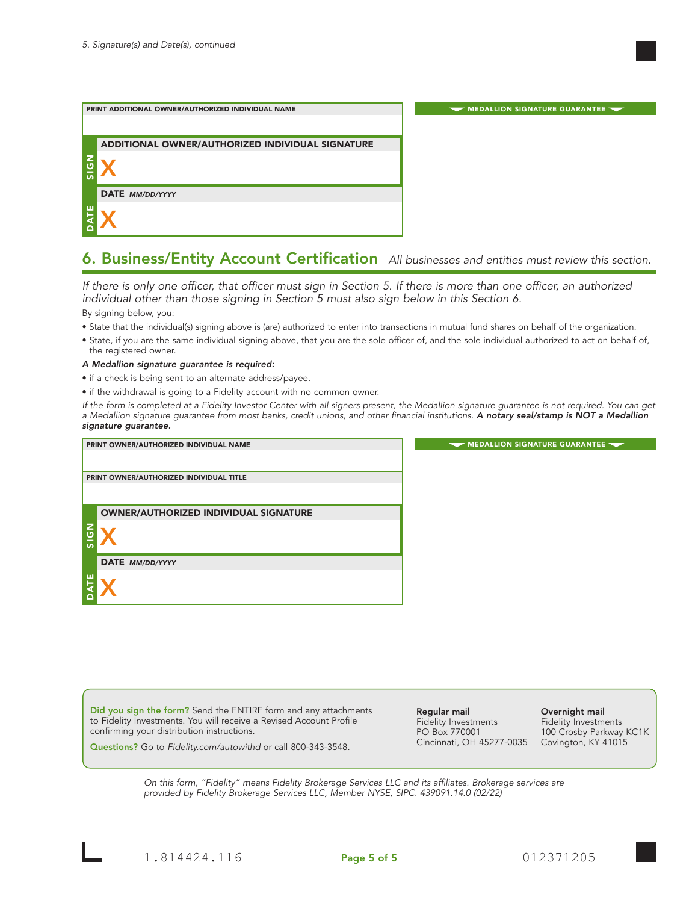

# 6. Business/Entity Account Certification *All businesses and entities must review this section.*

*If there is only one officer, that officer must sign in Section 5. If there is more than one officer, an authorized individual other than those signing in Section 5 must also sign below in this Section 6.*

By signing below, you:

- State that the individual(s) signing above is (are) authorized to enter into transactions in mutual fund shares on behalf of the organization.
- State, if you are the same individual signing above, that you are the sole officer of, and the sole individual authorized to act on behalf of, the registered owner.

#### *A Medallion signature guarantee is required:*

- if a check is being sent to an alternate address/payee.
- if the withdrawal is going to a Fidelity account with no common owner.

*If the form is completed at a Fidelity Investor Center with all signers present, the Medallion signature guarantee is not required. You can get a Medallion signature guarantee from most banks, credit unions, and other financial institutions. A notary seal/stamp is NOT a Medallion signature guarantee.*

|      | PRINT OWNER/AUTHORIZED INDIVIDUAL NAME       | MEDALLION SIGNATURE GUARANTEE |
|------|----------------------------------------------|-------------------------------|
|      |                                              |                               |
|      | PRINT OWNER/AUTHORIZED INDIVIDUAL TITLE      |                               |
|      |                                              |                               |
|      |                                              |                               |
|      | <b>OWNER/AUTHORIZED INDIVIDUAL SIGNATURE</b> |                               |
| NDIS |                                              |                               |
|      | DATE MM/DD/YYYY                              |                               |
| 삍    |                                              |                               |

Did you sign the form? Send the ENTIRE form and any attachments to Fidelity Investments. You will receive a Revised Account Profile confirming your distribution instructions.

Regular mail Fidelity Investments PO Box 770001 Cincinnati, OH 45277-0035 Overnight mail

Fidelity Investments 100 Crosby Parkway KC1K Covington, KY 41015

Questions? Go to *Fidelity.com/autowithd* or call 800-343-3548.

*On this form, "Fidelity" means Fidelity Brokerage Services LLC and its affiliates. Brokerage services are provided by Fidelity Brokerage Services LLC, Member NYSE, SIPC. 439091.14.0 (02/22)*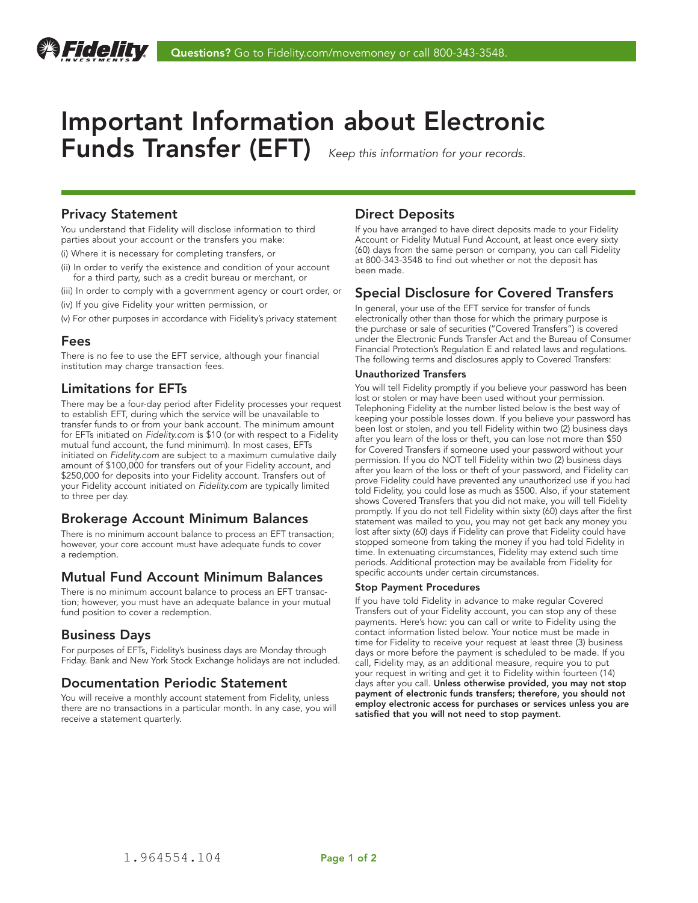

# Important Information about Electronic Funds Transfer (EFT) *Keep this information for your records.*

### Privacy Statement

You understand that Fidelity will disclose information to third parties about your account or the transfers you make:

- (i) Where it is necessary for completing transfers, or
- (ii) In order to verify the existence and condition of your account for a third party, such as a credit bureau or merchant, or
- (iii) In order to comply with a government agency or court order, or
- (iv) If you give Fidelity your written permission, or
- (v) For other purposes in accordance with Fidelity's privacy statement

### Fees

There is no fee to use the EFT service, although your financial institution may charge transaction fees.

# Limitations for EFTs

There may be a four-day period after Fidelity processes your request to establish EFT, during which the service will be unavailable to transfer funds to or from your bank account. The minimum amount for EFTs initiated on *Fidelity.com* is \$10 (or with respect to a Fidelity mutual fund account, the fund minimum). In most cases, EFTs initiated on *Fidelity.com* are subject to a maximum cumulative daily amount of \$100,000 for transfers out of your Fidelity account, and \$250,000 for deposits into your Fidelity account. Transfers out of your Fidelity account initiated on *Fidelity.com* are typically limited to three per day.

### Brokerage Account Minimum Balances

There is no minimum account balance to process an EFT transaction; however, your core account must have adequate funds to cover a redemption.

# Mutual Fund Account Minimum Balances

There is no minimum account balance to process an EFT transaction; however, you must have an adequate balance in your mutual fund position to cover a redemption.

# Business Days

For purposes of EFTs, Fidelity's business days are Monday through Friday. Bank and New York Stock Exchange holidays are not included.

# Documentation Periodic Statement

You will receive a monthly account statement from Fidelity, unless there are no transactions in a particular month. In any case, you will receive a statement quarterly.

# Direct Deposits

If you have arranged to have direct deposits made to your Fidelity Account or Fidelity Mutual Fund Account, at least once every sixty (60) days from the same person or company, you can call Fidelity at 800-343-3548 to find out whether or not the deposit has been made.

### Special Disclosure for Covered Transfers

In general, your use of the EFT service for transfer of funds electronically other than those for which the primary purpose is the purchase or sale of securities ("Covered Transfers") is covered under the Electronic Funds Transfer Act and the Bureau of Consumer Financial Protection's Regulation E and related laws and regulations. The following terms and disclosures apply to Covered Transfers:

#### Unauthorized Transfers

You will tell Fidelity promptly if you believe your password has been lost or stolen or may have been used without your permission. Telephoning Fidelity at the number listed below is the best way of keeping your possible losses down. If you believe your password has been lost or stolen, and you tell Fidelity within two (2) business days after you learn of the loss or theft, you can lose not more than \$50 for Covered Transfers if someone used your password without your permission. If you do NOT tell Fidelity within two (2) business days after you learn of the loss or theft of your password, and Fidelity can prove Fidelity could have prevented any unauthorized use if you had told Fidelity, you could lose as much as \$500. Also, if your statement shows Covered Transfers that you did not make, you will tell Fidelity promptly. If you do not tell Fidelity within sixty (60) days after the first statement was mailed to you, you may not get back any money you lost after sixty (60) days if Fidelity can prove that Fidelity could have stopped someone from taking the money if you had told Fidelity in time. In extenuating circumstances, Fidelity may extend such time periods. Additional protection may be available from Fidelity for specific accounts under certain circumstances.

#### Stop Payment Procedures

If you have told Fidelity in advance to make regular Covered Transfers out of your Fidelity account, you can stop any of these payments. Here's how: you can call or write to Fidelity using the contact information listed below. Your notice must be made in time for Fidelity to receive your request at least three (3) business days or more before the payment is scheduled to be made. If you call, Fidelity may, as an additional measure, require you to put your request in writing and get it to Fidelity within fourteen (14) days after you call. Unless otherwise provided, you may not stop payment of electronic funds transfers; therefore, you should not employ electronic access for purchases or services unless you are satisfied that you will not need to stop payment.